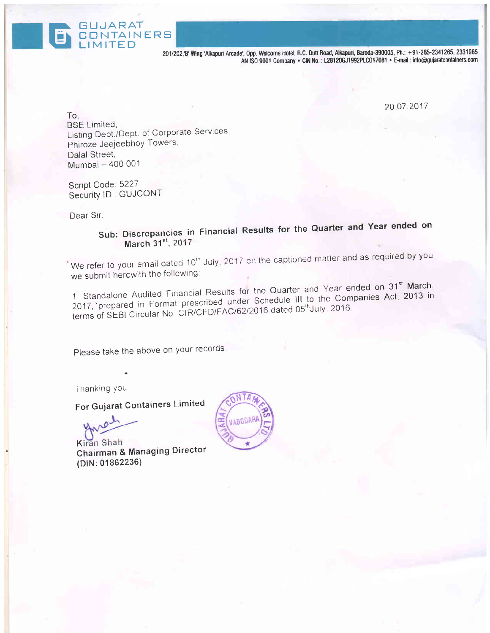201/202,'B' Wing 'Alkapuri Arcade', Opp. Welcome Hotel, R.C. Dutt Road, Alkapuri, Baroda-390005, Ph.: +91-265-2341265, 2331965 AN ISO 9001 Company · CIN No.: L28120GJ1992PLC017081 · E-mail: info@gujaratcontainers.com

20.07.2017

To, **BSE Limited.** Listing Dept./Dept. of Corporate Services. Phiroze Jeejeebhoy Towers. Dalal Street. Mumbai - 400 001

Script Code: 5227 Security ID: GUJCONT

**GUJARAT** 

CONTAINERS

Dear Sir.

Sub: Discrepancies in Financial Results for the Quarter and Year ended on March 31st, 2017

We refer to your email dated 10<sup>th</sup> July, 2017 on the captioned matter and as required by you we submit herewith the following:

1. Standalone Audited Financial Results for the Quarter and Year ended on 31<sup>st</sup> March, 2017, prepared in Format prescribed under Schedule III to the Companies Act, 2013 in terms of SEBI Circular No. CIR/CFD/FAC/62/2016 dated 05<sup>th</sup>July 2016.

Please take the above on your records.

Thanking you

For Gujarat Containers Limited

Kiran Shah Chairman & Managing Director (DIN: 01862236)

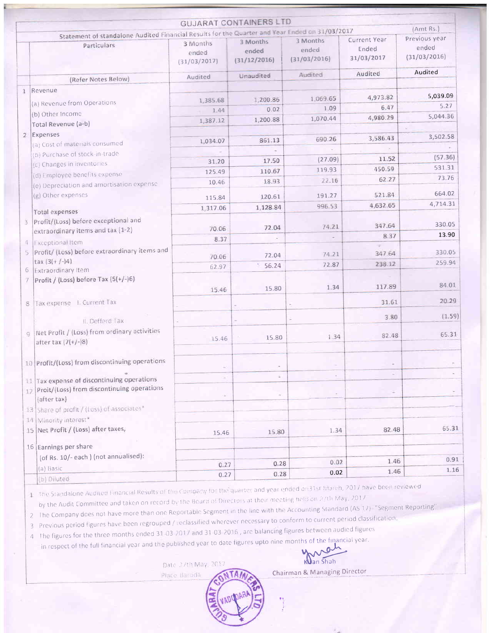|                |                                                                                                               |                                   | <b>GUJARAT CONTAINERS LTD</b>     |                                   |                                            | (Amt Rs.)                              |
|----------------|---------------------------------------------------------------------------------------------------------------|-----------------------------------|-----------------------------------|-----------------------------------|--------------------------------------------|----------------------------------------|
|                | Statement of standalone Audited Financial Results for the Quarter and Year Ended on 31/03/2017<br>Particulars | 3 Months<br>ended<br>(31/03/2017) | 3 Months<br>ended<br>(31/12/2016) | 3 Months<br>ended<br>(31/03/2016) | <b>Current Year</b><br>Ended<br>31/03/2017 | Previous year<br>ended<br>(31/03/2016) |
|                | (Refer Notes Below)                                                                                           | Audited                           | Unaudited                         | Audited                           | Audited                                    | Audited                                |
| 1              | Revenue                                                                                                       |                                   |                                   |                                   |                                            |                                        |
|                |                                                                                                               | 1,385.68                          | 1,200.86                          | 1,069.65                          | 4,973.82                                   | 5,039.09                               |
|                | (a) Revenue from Operations                                                                                   | 1.44                              | 0.02                              | 1.09                              | 6.47                                       | 5.27                                   |
|                | (b) Other Income                                                                                              | 1,387.12                          | 1,200.88                          | 1,070.44                          | 4,980.29                                   | 5,044.36                               |
|                | Total Revenue (a-b)                                                                                           |                                   |                                   |                                   |                                            |                                        |
| $\overline{2}$ | Expenses                                                                                                      | 1,034.07                          | 861.13                            | 690.26                            | 3,586.43                                   | 3,502.58                               |
|                | (a) Cost of materials consumed                                                                                |                                   |                                   |                                   |                                            |                                        |
|                | (b) Purchase of stock-in-trade                                                                                | 31.20                             | 17.50                             | (27.09)                           | 11.52                                      | (57.36)                                |
|                | (c) Changes in inventories                                                                                    | 125.49                            | 110.67                            | 119.93                            | 450.59                                     | 531.31                                 |
|                | (d) Employee benefits expense                                                                                 | 10.46                             | 18.93                             | 22.16                             | 62.27                                      | 73.76                                  |
|                | (e) Depreciation and amortisation expense                                                                     |                                   |                                   |                                   |                                            |                                        |
|                | (g) Other expenses                                                                                            | 115.84                            | 120.61                            | 191.27                            | 521.84                                     | 664.02                                 |
|                | Total expenses                                                                                                | 1,317.06                          | 1,128.84                          | 996.53                            | 4,632.65                                   | 4,714.31                               |
| 3.             | Profit/(Loss) before exceptional and                                                                          |                                   |                                   |                                   |                                            |                                        |
|                | extraordinary items and tax (1-2)                                                                             | 70.06                             | 72.04                             | 74.21                             | 347.64                                     | 330.05                                 |
| 4              | <b>Fxceptional Item</b>                                                                                       | 8.37                              |                                   |                                   | 8.37                                       | 13.90                                  |
|                | 5 Profit/ (Loss) before extraordinary items and                                                               |                                   |                                   |                                   | ÷<br>347.64                                | 330.05                                 |
|                | $tax(3(+/-)4)$                                                                                                | 70.06                             | 72.04                             | 74.21                             | 238.12                                     | 259.94                                 |
| 6              | Extraordinary Item                                                                                            | 62.97                             | 56.24                             | 72.87                             |                                            |                                        |
| $\mathcal{I}$  | Profit / (Loss) before Tax (5(+/-)6)                                                                          | 15.46                             | 15.80                             | 1.34                              | 117.89                                     | 84.01                                  |
| 8.             | Tax expense L Current Tax                                                                                     |                                   |                                   |                                   | 31.61                                      | 20.29                                  |
|                |                                                                                                               |                                   |                                   |                                   |                                            |                                        |
|                | II. Defferd Tax                                                                                               |                                   |                                   |                                   | 3.80                                       | (1.59)                                 |
|                | q Net Profit / (Loss) from ordinary activities<br>after tax $(7(+/-)8)$                                       | 15.46                             | 15.80                             | 1.34                              | 82.48                                      | 65.31                                  |
|                | 10 Profit/(Loss) from discontinuing operations                                                                |                                   |                                   |                                   |                                            |                                        |
|                | 11 Tax expense of discontinuing operations                                                                    |                                   | ÷                                 |                                   |                                            |                                        |
|                | 12 Proit/(Loss) from discontinuing operations<br>(after tax)                                                  |                                   | ÷                                 |                                   |                                            |                                        |
|                | 13 Share of profit / (Loss) of associates*                                                                    |                                   |                                   |                                   |                                            |                                        |
|                | 14 Minority interest*                                                                                         |                                   |                                   |                                   |                                            |                                        |
|                | 15 Net Profit / (Loss) after taxes,                                                                           | 15.46                             | 15.80                             | 1.34                              | 82.48                                      | 65.31                                  |
|                | 16 Earnings per share                                                                                         |                                   |                                   |                                   |                                            |                                        |
|                | (of Rs. 10/- each) (not annualised):                                                                          |                                   |                                   |                                   |                                            | 0.91                                   |
|                | (a) Basic                                                                                                     | 0.27                              | 0.28                              | 0.02                              | 1.46                                       | 1.16                                   |
|                | (b) Diluted                                                                                                   | 0.27                              | 0.28                              | 0.02                              | 1.46                                       |                                        |

by the Audit Committee and taken on record by the Board of Directors at their meeting held on 0.4th May, 2017

The Company does not have more than one Reportable Segment in the line with the Accounting Standard (AS 17) "Segment Reporting"

3 Previous period figures have been regrouped / reclassified wherever necessary to conform to current period classification.  $\overline{2}$ 

4 The figures for the three months ended 31-03-2017 and 31-03-2016, are balancing figures between audied figures

in respect of the full financial year and the published year to date figures upto nine months of the financial year.

Date 27th May, 2017

Place Baroda

Wan shah

Chairman & Managing Director